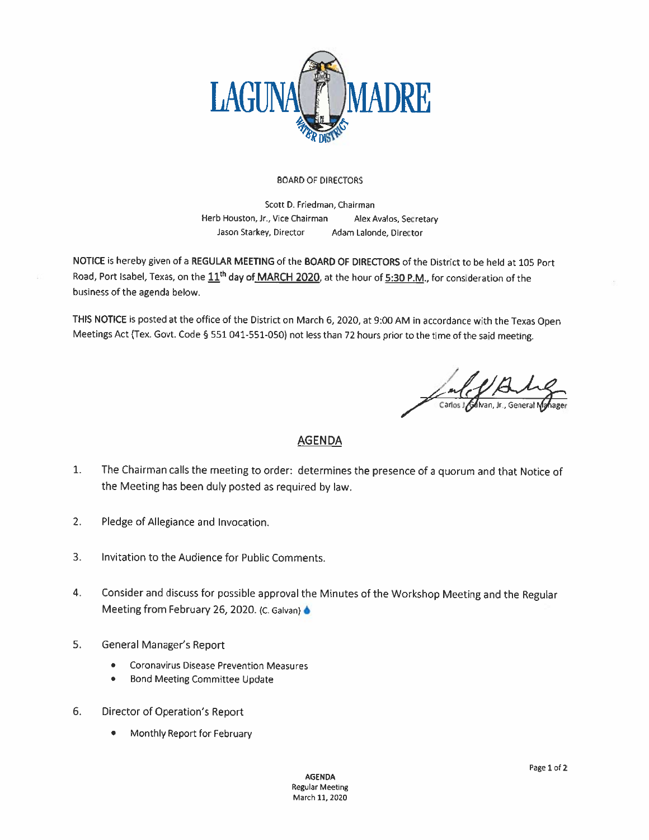

## **BOARD OF DIRECTORS**

Scott D. Friedman, Chairman Herb Houston, Jr., Vice Chairman Alex Avalos, Secretary Jason Starkey, Director Adam Lalonde, Director

NOTICE is hereby given of a REGULAR MEETING of the BOARD OF DIRECTORS of the District to be held at 105 Port Road, Port Isabel, Texas, on the 11<sup>th</sup> day of MARCH 2020, at the hour of 5:30 P.M., for consideration of the business of the agenda below.

THIS NOTICE is posted at the office of the District on March 6, 2020, at 9:00 AM in accordance with the Texas Open Meetings Act (Tex. Govt. Code § 551 041-551-050) not less than 72 hours prior to the time of the said meeting.

## **AGENDA**

- $1.$ The Chairman calls the meeting to order: determines the presence of a quorum and that Notice of the Meeting has been duly posted as required by law.
- $2.$ Pledge of Allegiance and Invocation.
- $3.$ Invitation to the Audience for Public Comments.
- 4. Consider and discuss for possible approval the Minutes of the Workshop Meeting and the Regular Meeting from February 26, 2020. (C. Galvan) 6
- 5. General Manager's Report
	- **Coronavirus Disease Prevention Measures**  $\bullet$
	- **Bond Meeting Committee Update**  $\bullet$
- 6. Director of Operation's Report
	- Monthly Report for February